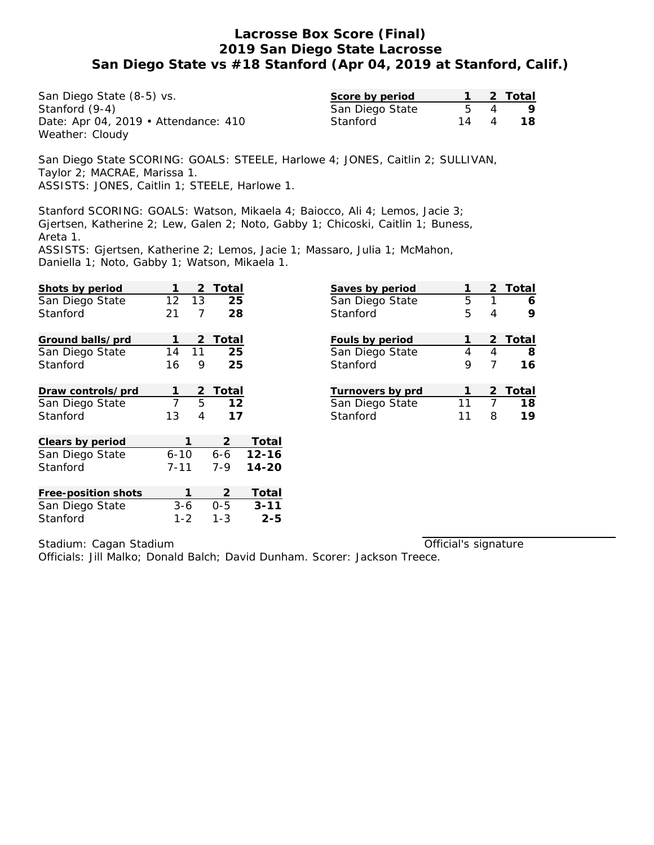San Diego State (8-5) vs. Stanford (9-4) Date: Apr 04, 2019 • Attendance: 410 Weather: Cloudy

| Score by period |    | -2 Total |
|-----------------|----|----------|
| San Diego State |    |          |
| Stanford        | 14 | 18.      |

San Diego State SCORING: GOALS: STEELE, Harlowe 4; JONES, Caitlin 2; SULLIVAN, Taylor 2; MACRAE, Marissa 1. ASSISTS: JONES, Caitlin 1; STEELE, Harlowe 1.

Stanford SCORING: GOALS: Watson, Mikaela 4; Baiocco, Ali 4; Lemos, Jacie 3; Gjertsen, Katherine 2; Lew, Galen 2; Noto, Gabby 1; Chicoski, Caitlin 1; Buness, Areta 1.

ASSISTS: Gjertsen, Katherine 2; Lemos, Jacie 1; Massaro, Julia 1; McMahon, Daniella 1; Noto, Gabby 1; Watson, Mikaela 1.

| Shots by period     |          | Total<br>2 |           | Saves by period  | 1  | 2 | Total |
|---------------------|----------|------------|-----------|------------------|----|---|-------|
| San Diego State     | 12       | 25<br>13   |           | San Diego State  | 5  | 1 | 6     |
| Stanford            | 21       | 7<br>28    |           | Stanford         | 5  | 4 | 9     |
|                     |          |            |           |                  |    |   |       |
| Ground balls/prd    | 1        | Total<br>2 |           | Fouls by period  | 1  | 2 | Total |
| San Diego State     | 14       | 25<br>11   |           | San Diego State  | 4  | 4 | 8     |
| Stanford            | 16       | 25<br>9    |           | Stanford         | 9  | 7 | 16    |
|                     |          |            |           |                  |    |   |       |
| Draw controls/prd   | 1        | Total<br>2 |           | Turnovers by prd | 1  | 2 | Total |
| San Diego State     | 7        | 5<br>12    |           | San Diego State  | 11 | 7 | 18    |
| Stanford            | 13       | 4<br>17    |           | Stanford         | 11 | 8 | 19    |
|                     |          |            |           |                  |    |   |       |
| Clears by period    |          | 2          | Total     |                  |    |   |       |
| San Diego State     | $6 - 10$ | $6 - 6$    | $12 - 16$ |                  |    |   |       |
| Stanford            | $7 - 11$ | 7-9        | $14 - 20$ |                  |    |   |       |
|                     |          |            |           |                  |    |   |       |
| Free-position shots |          | 2          | Total     |                  |    |   |       |
| San Diego State     | $3 - 6$  | $0 - 5$    | $3 - 11$  |                  |    |   |       |
| Stanford            | $1 - 2$  | $1 - 3$    | $2 - 5$   |                  |    |   |       |

Stadium: Cagan Stadium

Official's signature

Officials: Jill Malko; Donald Balch; David Dunham. Scorer: Jackson Treece.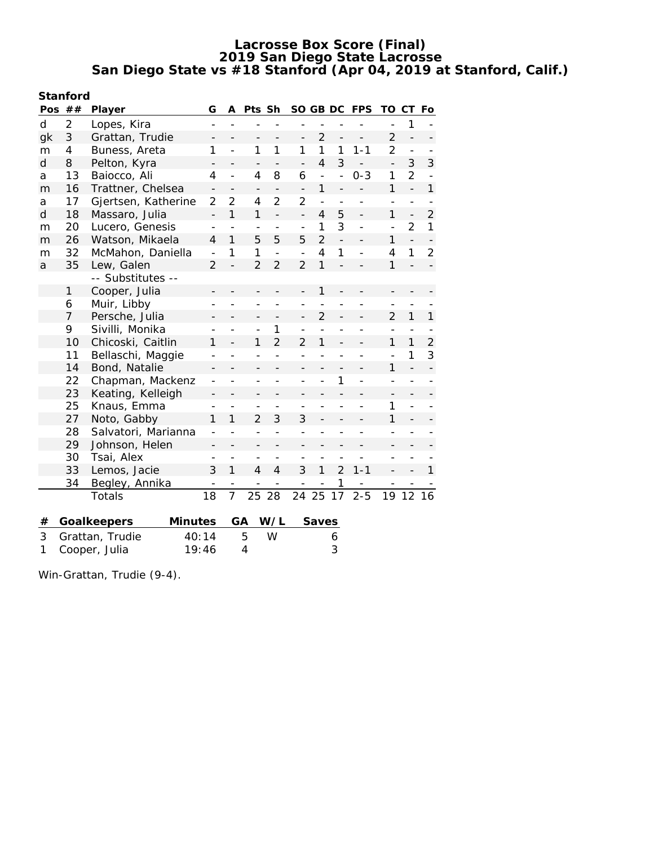| Stanford |  |
|----------|--|
|          |  |

| $\overline{2}$<br>d<br>1<br>Lopes, Kira<br>3<br>$\overline{2}$<br>$\overline{2}$<br>Grattan, Trudie<br>gk<br>$\overline{\phantom{0}}$<br>$\overline{2}$<br>1<br>1<br>1<br>$\mathbf{1}$<br>Buness, Areta<br>1<br>1<br>$1 - 1$<br>4<br>m<br>$\overline{a}$<br>3<br>$\overline{4}$<br>3<br>d<br>8<br>Pelton, Kyra<br>$\overline{a}$<br>$\overline{2}$<br>8<br>$\mathbf{1}$<br>13<br>Baiocco, Ali<br>$\overline{4}$<br>6<br>$0 - 3$<br>$\overline{4}$<br>$\overline{a}$<br>a<br>$\overline{a}$<br>$\overline{a}$<br>1<br>1<br>16<br>Trattner, Chelsea<br>$\overline{a}$<br>m<br>$\overline{\phantom{m}}$<br>$\overline{\phantom{0}}$<br>$\qquad \qquad -$<br>$\overline{\phantom{0}}$<br>$\overline{\phantom{0}}$<br>$\overline{2}$<br>$\overline{2}$<br>$\overline{2}$<br>17<br>Gjertsen, Katherine<br>2<br>4<br>$\overline{a}$<br>a<br>$\overline{a}$<br>$\overline{a}$<br>$\overline{a}$<br>$\overline{a}$<br>1<br>$\mathbf{1}$<br>d<br>18<br>1<br>5<br>Massaro, Julia<br>$\overline{4}$<br>$\overline{a}$<br>$\overline{\phantom{0}}$<br>$\overline{\phantom{0}}$<br>$\overline{a}$<br>$\overline{2}$<br>3<br>20<br>Lucero, Genesis<br>1<br>m<br>$\overline{a}$<br>$\overline{a}$<br>$\overline{a}$<br>$\overline{2}$<br>$\mathbf{1}$<br>5<br>5<br>5<br>26<br>Watson, Mikaela<br>1<br>$\overline{4}$<br>$\overline{a}$<br>m<br>1<br>1<br>$\overline{\mathcal{L}}$<br>$\mathbf{1}$<br>32<br>McMahon, Daniella<br>1<br>$\overline{4}$<br>m<br>$\overline{a}$<br>$\overline{a}$<br>$\overline{2}$<br>$\overline{2}$<br>$\mathbf{1}$<br>35<br>$\overline{2}$<br>1<br>Lew, Galen<br>2<br>a<br>-- Substitutes --<br>Cooper, Julia<br>1<br>1<br>Muir, Libby<br>6<br>$\overline{2}$<br>1<br>$\overline{7}$<br>Persche, Julia<br>$\overline{2}$<br>$\overline{\phantom{0}}$<br>$\overline{\phantom{a}}$<br>9<br>Sivilli, Monika<br>1<br>$\overline{a}$<br>$\overline{2}$<br>10<br>Chicoski, Caitlin<br>1<br>$\overline{2}$<br>1<br>1<br>1<br>1<br>1<br>Bellaschi, Maggie<br>11 | Pos | ## | Player | G | A | Pts Sh | SO GB DC |  | FPS | TO | СT | Fo             |
|-----------------------------------------------------------------------------------------------------------------------------------------------------------------------------------------------------------------------------------------------------------------------------------------------------------------------------------------------------------------------------------------------------------------------------------------------------------------------------------------------------------------------------------------------------------------------------------------------------------------------------------------------------------------------------------------------------------------------------------------------------------------------------------------------------------------------------------------------------------------------------------------------------------------------------------------------------------------------------------------------------------------------------------------------------------------------------------------------------------------------------------------------------------------------------------------------------------------------------------------------------------------------------------------------------------------------------------------------------------------------------------------------------------------------------------------------------------------------------------------------------------------------------------------------------------------------------------------------------------------------------------------------------------------------------------------------------------------------------------------------------------------------------------------------------------------------------------------------------------------------------------------------------------------------------------------------------------------------|-----|----|--------|---|---|--------|----------|--|-----|----|----|----------------|
|                                                                                                                                                                                                                                                                                                                                                                                                                                                                                                                                                                                                                                                                                                                                                                                                                                                                                                                                                                                                                                                                                                                                                                                                                                                                                                                                                                                                                                                                                                                                                                                                                                                                                                                                                                                                                                                                                                                                                                       |     |    |        |   |   |        |          |  |     |    |    |                |
|                                                                                                                                                                                                                                                                                                                                                                                                                                                                                                                                                                                                                                                                                                                                                                                                                                                                                                                                                                                                                                                                                                                                                                                                                                                                                                                                                                                                                                                                                                                                                                                                                                                                                                                                                                                                                                                                                                                                                                       |     |    |        |   |   |        |          |  |     |    |    |                |
|                                                                                                                                                                                                                                                                                                                                                                                                                                                                                                                                                                                                                                                                                                                                                                                                                                                                                                                                                                                                                                                                                                                                                                                                                                                                                                                                                                                                                                                                                                                                                                                                                                                                                                                                                                                                                                                                                                                                                                       |     |    |        |   |   |        |          |  |     |    |    |                |
|                                                                                                                                                                                                                                                                                                                                                                                                                                                                                                                                                                                                                                                                                                                                                                                                                                                                                                                                                                                                                                                                                                                                                                                                                                                                                                                                                                                                                                                                                                                                                                                                                                                                                                                                                                                                                                                                                                                                                                       |     |    |        |   |   |        |          |  |     |    |    | 3              |
|                                                                                                                                                                                                                                                                                                                                                                                                                                                                                                                                                                                                                                                                                                                                                                                                                                                                                                                                                                                                                                                                                                                                                                                                                                                                                                                                                                                                                                                                                                                                                                                                                                                                                                                                                                                                                                                                                                                                                                       |     |    |        |   |   |        |          |  |     |    |    |                |
|                                                                                                                                                                                                                                                                                                                                                                                                                                                                                                                                                                                                                                                                                                                                                                                                                                                                                                                                                                                                                                                                                                                                                                                                                                                                                                                                                                                                                                                                                                                                                                                                                                                                                                                                                                                                                                                                                                                                                                       |     |    |        |   |   |        |          |  |     |    |    | $\mathbf{1}$   |
|                                                                                                                                                                                                                                                                                                                                                                                                                                                                                                                                                                                                                                                                                                                                                                                                                                                                                                                                                                                                                                                                                                                                                                                                                                                                                                                                                                                                                                                                                                                                                                                                                                                                                                                                                                                                                                                                                                                                                                       |     |    |        |   |   |        |          |  |     |    |    |                |
|                                                                                                                                                                                                                                                                                                                                                                                                                                                                                                                                                                                                                                                                                                                                                                                                                                                                                                                                                                                                                                                                                                                                                                                                                                                                                                                                                                                                                                                                                                                                                                                                                                                                                                                                                                                                                                                                                                                                                                       |     |    |        |   |   |        |          |  |     |    |    | $\overline{2}$ |
|                                                                                                                                                                                                                                                                                                                                                                                                                                                                                                                                                                                                                                                                                                                                                                                                                                                                                                                                                                                                                                                                                                                                                                                                                                                                                                                                                                                                                                                                                                                                                                                                                                                                                                                                                                                                                                                                                                                                                                       |     |    |        |   |   |        |          |  |     |    |    | $\mathbf{1}$   |
|                                                                                                                                                                                                                                                                                                                                                                                                                                                                                                                                                                                                                                                                                                                                                                                                                                                                                                                                                                                                                                                                                                                                                                                                                                                                                                                                                                                                                                                                                                                                                                                                                                                                                                                                                                                                                                                                                                                                                                       |     |    |        |   |   |        |          |  |     |    |    |                |
|                                                                                                                                                                                                                                                                                                                                                                                                                                                                                                                                                                                                                                                                                                                                                                                                                                                                                                                                                                                                                                                                                                                                                                                                                                                                                                                                                                                                                                                                                                                                                                                                                                                                                                                                                                                                                                                                                                                                                                       |     |    |        |   |   |        |          |  |     |    |    | $\overline{2}$ |
|                                                                                                                                                                                                                                                                                                                                                                                                                                                                                                                                                                                                                                                                                                                                                                                                                                                                                                                                                                                                                                                                                                                                                                                                                                                                                                                                                                                                                                                                                                                                                                                                                                                                                                                                                                                                                                                                                                                                                                       |     |    |        |   |   |        |          |  |     |    |    |                |
|                                                                                                                                                                                                                                                                                                                                                                                                                                                                                                                                                                                                                                                                                                                                                                                                                                                                                                                                                                                                                                                                                                                                                                                                                                                                                                                                                                                                                                                                                                                                                                                                                                                                                                                                                                                                                                                                                                                                                                       |     |    |        |   |   |        |          |  |     |    |    |                |
|                                                                                                                                                                                                                                                                                                                                                                                                                                                                                                                                                                                                                                                                                                                                                                                                                                                                                                                                                                                                                                                                                                                                                                                                                                                                                                                                                                                                                                                                                                                                                                                                                                                                                                                                                                                                                                                                                                                                                                       |     |    |        |   |   |        |          |  |     |    |    |                |
|                                                                                                                                                                                                                                                                                                                                                                                                                                                                                                                                                                                                                                                                                                                                                                                                                                                                                                                                                                                                                                                                                                                                                                                                                                                                                                                                                                                                                                                                                                                                                                                                                                                                                                                                                                                                                                                                                                                                                                       |     |    |        |   |   |        |          |  |     |    |    |                |
|                                                                                                                                                                                                                                                                                                                                                                                                                                                                                                                                                                                                                                                                                                                                                                                                                                                                                                                                                                                                                                                                                                                                                                                                                                                                                                                                                                                                                                                                                                                                                                                                                                                                                                                                                                                                                                                                                                                                                                       |     |    |        |   |   |        |          |  |     |    |    | 1              |
|                                                                                                                                                                                                                                                                                                                                                                                                                                                                                                                                                                                                                                                                                                                                                                                                                                                                                                                                                                                                                                                                                                                                                                                                                                                                                                                                                                                                                                                                                                                                                                                                                                                                                                                                                                                                                                                                                                                                                                       |     |    |        |   |   |        |          |  |     |    |    |                |
|                                                                                                                                                                                                                                                                                                                                                                                                                                                                                                                                                                                                                                                                                                                                                                                                                                                                                                                                                                                                                                                                                                                                                                                                                                                                                                                                                                                                                                                                                                                                                                                                                                                                                                                                                                                                                                                                                                                                                                       |     |    |        |   |   |        |          |  |     |    |    | $\overline{2}$ |
|                                                                                                                                                                                                                                                                                                                                                                                                                                                                                                                                                                                                                                                                                                                                                                                                                                                                                                                                                                                                                                                                                                                                                                                                                                                                                                                                                                                                                                                                                                                                                                                                                                                                                                                                                                                                                                                                                                                                                                       |     |    |        |   |   |        |          |  |     |    |    | 3              |
| $\mathbf{1}$<br>$\overline{a}$<br>14<br>Bond, Natalie                                                                                                                                                                                                                                                                                                                                                                                                                                                                                                                                                                                                                                                                                                                                                                                                                                                                                                                                                                                                                                                                                                                                                                                                                                                                                                                                                                                                                                                                                                                                                                                                                                                                                                                                                                                                                                                                                                                 |     |    |        |   |   |        |          |  |     |    |    |                |
| 22<br>Chapman, Mackenz<br>1                                                                                                                                                                                                                                                                                                                                                                                                                                                                                                                                                                                                                                                                                                                                                                                                                                                                                                                                                                                                                                                                                                                                                                                                                                                                                                                                                                                                                                                                                                                                                                                                                                                                                                                                                                                                                                                                                                                                           |     |    |        |   |   |        |          |  |     |    |    |                |
| 23<br>Keating, Kelleigh                                                                                                                                                                                                                                                                                                                                                                                                                                                                                                                                                                                                                                                                                                                                                                                                                                                                                                                                                                                                                                                                                                                                                                                                                                                                                                                                                                                                                                                                                                                                                                                                                                                                                                                                                                                                                                                                                                                                               |     |    |        |   |   |        |          |  |     |    |    |                |
| 25<br>Knaus, Emma<br>1<br>$\overline{\phantom{0}}$<br>$\overline{a}$<br>$\overline{a}$<br>$\overline{\phantom{a}}$                                                                                                                                                                                                                                                                                                                                                                                                                                                                                                                                                                                                                                                                                                                                                                                                                                                                                                                                                                                                                                                                                                                                                                                                                                                                                                                                                                                                                                                                                                                                                                                                                                                                                                                                                                                                                                                    |     |    |        |   |   |        |          |  |     |    |    |                |
| 27<br>Noto, Gabby<br>$\overline{2}$<br>3<br>3<br>1<br>1<br>1                                                                                                                                                                                                                                                                                                                                                                                                                                                                                                                                                                                                                                                                                                                                                                                                                                                                                                                                                                                                                                                                                                                                                                                                                                                                                                                                                                                                                                                                                                                                                                                                                                                                                                                                                                                                                                                                                                          |     |    |        |   |   |        |          |  |     |    |    |                |
| 28<br>Salvatori, Marianna                                                                                                                                                                                                                                                                                                                                                                                                                                                                                                                                                                                                                                                                                                                                                                                                                                                                                                                                                                                                                                                                                                                                                                                                                                                                                                                                                                                                                                                                                                                                                                                                                                                                                                                                                                                                                                                                                                                                             |     |    |        |   |   |        |          |  |     |    |    |                |
| 29<br>Johnson, Helen                                                                                                                                                                                                                                                                                                                                                                                                                                                                                                                                                                                                                                                                                                                                                                                                                                                                                                                                                                                                                                                                                                                                                                                                                                                                                                                                                                                                                                                                                                                                                                                                                                                                                                                                                                                                                                                                                                                                                  |     |    |        |   |   |        |          |  |     |    |    |                |
| 30<br>Tsai, Alex                                                                                                                                                                                                                                                                                                                                                                                                                                                                                                                                                                                                                                                                                                                                                                                                                                                                                                                                                                                                                                                                                                                                                                                                                                                                                                                                                                                                                                                                                                                                                                                                                                                                                                                                                                                                                                                                                                                                                      |     |    |        |   |   |        |          |  |     |    |    |                |
| 33<br>1<br>Lemos, Jacie<br>3<br>$\overline{4}$<br>3<br>$\mathfrak{D}$<br>$1 - 1$<br>4<br>1                                                                                                                                                                                                                                                                                                                                                                                                                                                                                                                                                                                                                                                                                                                                                                                                                                                                                                                                                                                                                                                                                                                                                                                                                                                                                                                                                                                                                                                                                                                                                                                                                                                                                                                                                                                                                                                                            |     |    |        |   |   |        |          |  |     |    |    | 1              |
| 34<br>Begley, Annika<br>1                                                                                                                                                                                                                                                                                                                                                                                                                                                                                                                                                                                                                                                                                                                                                                                                                                                                                                                                                                                                                                                                                                                                                                                                                                                                                                                                                                                                                                                                                                                                                                                                                                                                                                                                                                                                                                                                                                                                             |     |    |        |   |   |        |          |  |     |    |    |                |
| 18<br>7<br>25<br>28<br>25<br>$2 - 5$<br>Totals<br>24<br>17<br>19<br>12                                                                                                                                                                                                                                                                                                                                                                                                                                                                                                                                                                                                                                                                                                                                                                                                                                                                                                                                                                                                                                                                                                                                                                                                                                                                                                                                                                                                                                                                                                                                                                                                                                                                                                                                                                                                                                                                                                |     |    |        |   |   |        |          |  |     |    |    | 16             |
| W/L<br>GА                                                                                                                                                                                                                                                                                                                                                                                                                                                                                                                                                                                                                                                                                                                                                                                                                                                                                                                                                                                                                                                                                                                                                                                                                                                                                                                                                                                                                                                                                                                                                                                                                                                                                                                                                                                                                                                                                                                                                             |     |    |        |   |   |        |          |  |     |    |    |                |
| Goalkeepers<br>Minutes<br>Saves<br>#<br>3<br>5<br>W<br>Grattan, Trudie<br>40:14                                                                                                                                                                                                                                                                                                                                                                                                                                                                                                                                                                                                                                                                                                                                                                                                                                                                                                                                                                                                                                                                                                                                                                                                                                                                                                                                                                                                                                                                                                                                                                                                                                                                                                                                                                                                                                                                                       |     |    |        |   |   |        |          |  |     |    |    |                |
| 6<br>3<br>1<br>Cooper, Julia<br>19:46<br>4                                                                                                                                                                                                                                                                                                                                                                                                                                                                                                                                                                                                                                                                                                                                                                                                                                                                                                                                                                                                                                                                                                                                                                                                                                                                                                                                                                                                                                                                                                                                                                                                                                                                                                                                                                                                                                                                                                                            |     |    |        |   |   |        |          |  |     |    |    |                |

Win-Grattan, Trudie (9-4).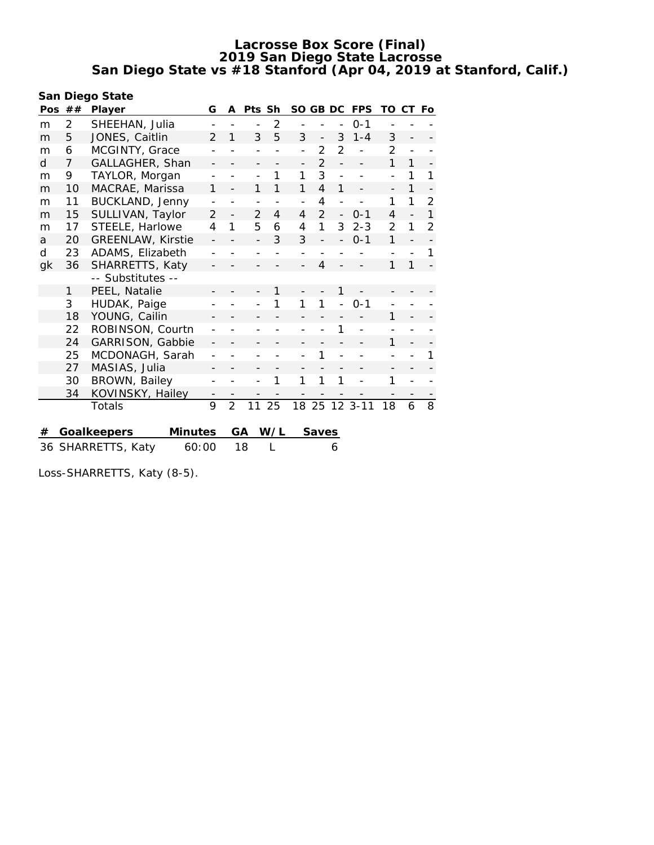| San Diego State |                |                          |         |                |                |                |                |                          |                |                |             |                |                |                |
|-----------------|----------------|--------------------------|---------|----------------|----------------|----------------|----------------|--------------------------|----------------|----------------|-------------|----------------|----------------|----------------|
|                 | Pos $##$       | Player                   |         | G              | A              | Pts Sh         |                | SO.                      | GB DC          |                | <b>FPS</b>  | TO             | CТ             | Fo             |
| m               | $\overline{2}$ | SHEEHAN, Julia           |         |                |                |                | $\overline{2}$ |                          |                |                | $0 - 1$     |                |                |                |
| m               | 5              | JONES, Caitlin           |         |                | 1              | 3              | 5              | 3                        | $\overline{a}$ | 3              | $1 - 4$     | 3              |                |                |
| m               | 6              | MCGINTY, Grace           |         |                |                |                |                |                          | $\overline{2}$ | $\overline{2}$ |             | $\overline{2}$ |                |                |
| d               | $\overline{7}$ | GALLAGHER, Shan          |         |                |                |                |                | $\overline{\phantom{0}}$ | $\overline{2}$ |                |             | $\mathbf{1}$   | 1              |                |
| m               | 9              | TAYLOR, Morgan           |         |                |                |                | 1              | 1                        | 3              | $\overline{a}$ |             | $\overline{a}$ | 1              | 1              |
| m               | 10             | MACRAE, Marissa          |         | 1              |                | 1              | 1              | 1                        | 4              | 1              |             |                | 1              |                |
| m               | 11             | BUCKLAND, Jenny          |         |                |                |                |                | $\overline{\phantom{0}}$ | 4              |                |             | 1              | 1              | $\overline{2}$ |
| m               | 15             | SULLIVAN, Taylor         |         | $\overline{2}$ |                | $\overline{2}$ | 4              | 4                        | $\overline{2}$ |                | $0 - 1$     | $\overline{4}$ | $\overline{a}$ | $\mathbf{1}$   |
| m               | 17             | STEELE, Harlowe          |         | 4              | 1              | 5              | 6              | 4                        | $\mathbf{1}$   | 3              | $2 - 3$     | $\overline{2}$ | 1              | $\overline{2}$ |
| a               | 20             | <b>GREENLAW, Kirstie</b> |         |                |                |                | 3              | 3                        |                |                | $0 - 1$     | 1              | $\overline{a}$ |                |
| d               | 23             | ADAMS, Elizabeth         |         |                |                |                |                |                          |                |                |             |                |                | 1              |
| gk              | 36             | SHARRETTS, Katy          |         |                |                |                |                |                          | 4              |                |             | 1              | 1              |                |
|                 |                | -- Substitutes --        |         |                |                |                |                |                          |                |                |             |                |                |                |
|                 | 1              | PEEL, Natalie            |         |                |                |                | 1              |                          |                | 1              |             |                |                |                |
|                 | 3              | HUDAK, Paige             |         |                |                |                |                | 1                        | 1              |                | $0 - 1$     |                |                |                |
|                 | 18             | YOUNG, Cailin            |         |                |                |                |                |                          |                |                |             | 1              |                |                |
|                 | 22             | ROBINSON, Courtn         |         |                |                |                |                |                          |                |                |             |                |                |                |
|                 | 24             | GARRISON, Gabbie         |         |                |                |                |                |                          |                |                |             | 1              |                |                |
|                 | 25             | MCDONAGH, Sarah          |         |                |                |                |                |                          | 1              |                |             |                |                | 1              |
|                 | 27             | MASIAS, Julia            |         |                |                |                |                |                          |                |                |             |                |                |                |
|                 | 30             | BROWN, Bailey            |         |                |                |                | 1              | 1                        | 1              | 1              |             | 1              |                |                |
|                 | 34             | KOVINSKY, Hailey         |         |                |                |                |                |                          |                |                |             |                |                |                |
|                 |                | Totals                   |         | 9              | $\overline{2}$ | 11             | 25             |                          | 18 25          |                | $123 - -11$ | 18             | 6              | 8              |
|                 |                |                          |         |                |                |                |                |                          |                |                |             |                |                |                |
| #               |                | Goalkeepers              | Minutes |                |                | GА             | W/L            |                          | Saves          |                |             |                |                |                |
|                 |                | 36 SHARRETTS, Katy       | 60:00   |                |                | 18             | L              |                          |                | 6              |             |                |                |                |
|                 |                |                          |         |                |                |                |                |                          |                |                |             |                |                |                |

Loss-SHARRETTS, Katy (8-5).